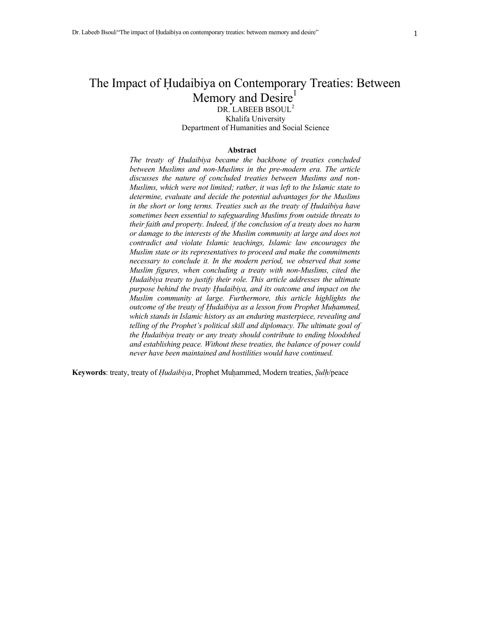# The Impact of Hudaibiya on Contemporary Treaties: Between Memory and Desire<sup>1</sup>

DR. LABEEB BSOUL<sup>2</sup> Khalifa University Department of Humanities and Social Science

## **Abstract**

The treaty of Hudaibiya became the backbone of treaties concluded *between Muslims and non-Muslims in the pre-modern era. The article discusses the nature of concluded treaties between Muslims and non-Muslims, which were not limited; rather, it was left to the Islamic state to determine, evaluate and decide the potential advantages for the Muslims*  in the short or long terms. Treaties such as the treaty of Hudaibiya have *sometimes been essential to safeguarding Muslims from outside threats to their faith and property. Indeed, if the conclusion of a treaty does no harm or damage to the interests of the Muslim community at large and does not contradict and violate Islamic teachings, Islamic law encourages the Muslim state or its representatives to proceed and make the commitments necessary to conclude it. In the modern period, we observed that some Muslim figures, when concluding a treaty with non-Muslims, cited the ×udaibiya treaty to justify their role. This article addresses the ultimate purpose behind the treaty Hudaibiya, and its outcome and impact on the Muslim community at large. Furthermore, this article highlights the outcome of the treaty of Hudaibiya as a lesson from Prophet Muhammed, which stands in Islamic history as an enduring masterpiece, revealing and telling of the Prophet's political skill and diplomacy. The ultimate goal of*  the Hudaibiya treaty or any treaty should contribute to ending bloodshed *and establishing peace. Without these treaties, the balance of power could never have been maintained and hostilities would have continued.*

Keywords: treaty, treaty of *Hudaibiya*, Prophet Muhammed, Modern treaties, *Sulh/peace*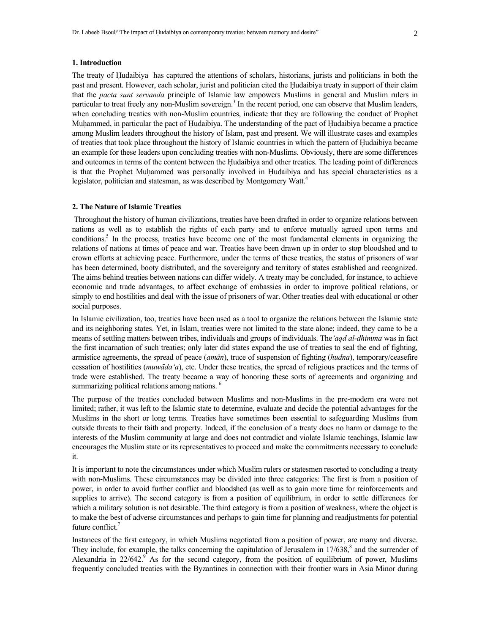#### **1. Introduction**

The treaty of Hudaibiya has captured the attentions of scholars, historians, jurists and politicians in both the past and present. However, each scholar, jurist and politician cited the Hudaibiya treaty in support of their claim that the *pacta sunt servanda* principle of Islamic law empowers Muslims in general and Muslim rulers in particular to treat freely any non-Muslim sovereign.<sup>3</sup> In the recent period, one can observe that Muslim leaders, when concluding treaties with non-Muslim countries, indicate that they are following the conduct of Prophet Muhammed, in particular the pact of Hudaibiya. The understanding of the pact of Hudaibiya became a practice among Muslim leaders throughout the history of Islam, past and present. We will illustrate cases and examples of treaties that took place throughout the history of Islamic countries in which the pattern of Hudaibiya became an example for these leaders upon concluding treaties with non-Muslims. Obviously, there are some differences and outcomes in terms of the content between the Hudaibiya and other treaties. The leading point of differences is that the Prophet Muhammed was personally involved in Hudaibiya and has special characteristics as a legislator, politician and statesman, as was described by Montgomery Watt.<sup>4</sup>

## **2. The Nature of Islamic Treaties**

Throughout the history of human civilizations, treaties have been drafted in order to organize relations between nations as well as to establish the rights of each party and to enforce mutually agreed upon terms and conditions.<sup>5</sup> In the process, treaties have become one of the most fundamental elements in organizing the relations of nations at times of peace and war. Treaties have been drawn up in order to stop bloodshed and to crown efforts at achieving peace. Furthermore, under the terms of these treaties, the status of prisoners of war has been determined, booty distributed, and the sovereignty and territory of states established and recognized. The aims behind treaties between nations can differ widely. A treaty may be concluded, for instance, to achieve economic and trade advantages, to affect exchange of embassies in order to improve political relations, or simply to end hostilities and deal with the issue of prisoners of war. Other treaties deal with educational or other social purposes.

In Islamic civilization, too, treaties have been used as a tool to organize the relations between the Islamic state and its neighboring states. Yet, in Islam, treaties were not limited to the state alone; indeed, they came to be a means of settling matters between tribes, individuals and groups of individuals. The*'aqd al-dhimma* was in fact the first incarnation of such treaties; only later did states expand the use of treaties to seal the end of fighting, armistice agreements, the spread of peace (*amÉn*), truce of suspension of fighting (*hudna*), temporary/ceasefire cessation of hostilities (*muwāda'a*), etc. Under these treaties, the spread of religious practices and the terms of trade were established. The treaty became a way of honoring these sorts of agreements and organizing and summarizing political relations among nations.<sup>6</sup>

The purpose of the treaties concluded between Muslims and non-Muslims in the pre-modern era were not limited; rather, it was left to the Islamic state to determine, evaluate and decide the potential advantages for the Muslims in the short or long terms. Treaties have sometimes been essential to safeguarding Muslims from outside threats to their faith and property. Indeed, if the conclusion of a treaty does no harm or damage to the interests of the Muslim community at large and does not contradict and violate Islamic teachings, Islamic law encourages the Muslim state or its representatives to proceed and make the commitments necessary to conclude it.

It is important to note the circumstances under which Muslim rulers or statesmen resorted to concluding a treaty with non-Muslims. These circumstances may be divided into three categories: The first is from a position of power, in order to avoid further conflict and bloodshed (as well as to gain more time for reinforcements and supplies to arrive). The second category is from a position of equilibrium, in order to settle differences for which a military solution is not desirable. The third category is from a position of weakness, where the object is to make the best of adverse circumstances and perhaps to gain time for planning and readjustments for potential future conflict.<sup>7</sup>

Instances of the first category, in which Muslims negotiated from a position of power, are many and diverse. They include, for example, the talks concerning the capitulation of Jerusalem in  $17/638$ , and the surrender of Alexandria in  $22/642$ . As for the second category, from the position of equilibrium of power, Muslims frequently concluded treaties with the Byzantines in connection with their frontier wars in Asia Minor during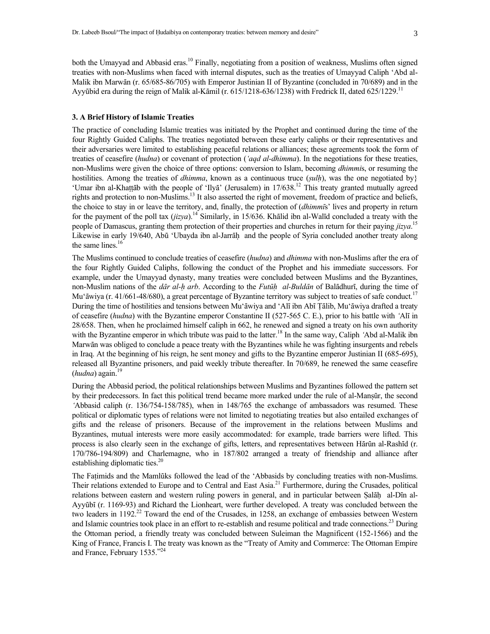both the Umayyad and Abbasid eras.<sup>10</sup> Finally, negotiating from a position of weakness, Muslims often signed treaties with non-Muslims when faced with internal disputes, such as the treaties of Umayyad Caliph 'Abd al-Malik ibn Marwān (r. 65/685-86/705) with Emperor Justinian II of Byzantine (concluded in 70/689) and in the Ayyūbid era during the reign of Malik al-Kāmil (r. 615/1218-636/1238) with Fredrick II, dated 625/1229.<sup>11</sup>

## **3. A Brief History of Islamic Treaties**

The practice of concluding Islamic treaties was initiated by the Prophet and continued during the time of the four Rightly Guided Caliphs. The treaties negotiated between these early caliphs or their representatives and their adversaries were limited to establishing peaceful relations or alliances; these agreements took the form of treaties of ceasefire (*hudna*) or covenant of protection (*'aqd al-dhimma*). In the negotiations for these treaties, non-Muslims were given the choice of three options: conversion to Islam, becoming *dhimmi*s, or resuming the hostilities. Among the treaties of *dhimma*, known as a continuous truce (*sulh*), was the one negotiated by  $\}$ 'Umar ibn al-Khattāb with the people of 'Ilyā' (Jerusalem) in  $17/638$ <sup>12</sup>. This treaty granted mutually agreed rights and protection to non-Muslims.<sup>13</sup> It also asserted the right of movement, freedom of practice and beliefs, the choice to stay in or leave the territory, and, finally, the protection of (*dhimm* $\bar{s}$ ' lives and property in return for the payment of the poll tax  $(iizya)$ .<sup>14</sup> Similarly, in 15/636. Khālid ibn al-Walīd concluded a treaty with the people of Damascus, granting them protection of their properties and churches in return for their paying *jizya*. 15 Likewise in early 19/640, Abū 'Ubayda ibn al-Jarrāḥ and the people of Syria concluded another treaty along the same lines.<sup>16</sup>

The Muslims continued to conclude treaties of ceasefire (*hudna*) and *dhimma* with non-Muslims after the era of the four Rightly Guided Caliphs, following the conduct of the Prophet and his immediate successors. For example, under the Umayyad dynasty, many treaties were concluded between Muslims and the Byzantines, non-Muslim nations of the *dār al-h arb*. According to the *Futūh al-Buldān* of Balādhurī, during the time of Mu'āwiya (r. 41/661-48/680), a great percentage of Byzantine territory was subject to treaties of safe conduct.<sup>17</sup> During the time of hostilities and tensions between Mu'āwiya and 'Alī ibn Abī Tālib, Mu'āwiya drafted a treaty of ceasefire (*hudna*) with the Byzantine emperor Constantine II (527-565 C. E.), prior to his battle with *'*AlÊ in 28/658. Then, when he proclaimed himself caliph in 662, he renewed and signed a treaty on his own authority with the Byzantine emperor in which tribute was paid to the latter.<sup>18</sup> In the same way, Caliph *'Abd al-Malik ibn* Marwān was obliged to conclude a peace treaty with the Byzantines while he was fighting insurgents and rebels in Iraq. At the beginning of his reign, he sent money and gifts to the Byzantine emperor Justinian II (685-695), released all Byzantine prisoners, and paid weekly tribute thereafter. In 70/689, he renewed the same ceasefire  $(hudna)$  again.<sup>19</sup>

During the Abbasid period, the political relationships between Muslims and Byzantines followed the pattern set by their predecessors. In fact this political trend became more marked under the rule of al-Manṣūr, the second *'*Abbasid caliph (r. 136/754-158/785), when in 148/765 the exchange of ambassadors was resumed. These political or diplomatic types of relations were not limited to negotiating treaties but also entailed exchanges of gifts and the release of prisoners. Because of the improvement in the relations between Muslims and Byzantines, mutual interests were more easily accommodated: for example, trade barriers were lifted. This process is also clearly seen in the exchange of gifts, letters, and representatives between Hārūn al-Rashīd (r. 170/786-194/809) and Charlemagne, who in 187/802 arranged a treaty of friendship and alliance after establishing diplomatic ties. $^{20}$ 

The Fatimids and the Mamlüks followed the lead of the 'Abbasids by concluding treaties with non-Muslims. Their relations extended to Europe and to Central and East Asia.<sup>21</sup> Furthermore, during the Crusades, political relations between eastern and western ruling powers in general, and in particular between Salāḥ al-Dīn al-Ayyūbī (r. 1169-93) and Richard the Lionheart, were further developed. A treaty was concluded between the two leaders in 1192.<sup>22</sup> Toward the end of the Crusades, in 1258, an exchange of embassies between Western and Islamic countries took place in an effort to re-establish and resume political and trade connections.<sup>23</sup> During the Ottoman period, a friendly treaty was concluded between Suleiman the Magnificent (152-1566) and the King of France, Francis I. The treaty was known as the "Treaty of Amity and Commerce: The Ottoman Empire and France, February 1535."<sup>24</sup>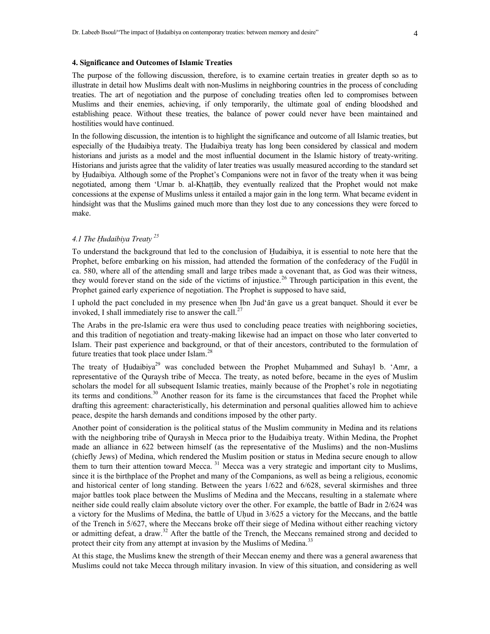## **4. Significance and Outcomes of Islamic Treaties**

The purpose of the following discussion, therefore, is to examine certain treaties in greater depth so as to illustrate in detail how Muslims dealt with non-Muslims in neighboring countries in the process of concluding treaties. The art of negotiation and the purpose of concluding treaties often led to compromises between Muslims and their enemies, achieving, if only temporarily, the ultimate goal of ending bloodshed and establishing peace. Without these treaties, the balance of power could never have been maintained and hostilities would have continued.

In the following discussion, the intention is to highlight the significance and outcome of all Islamic treaties, but especially of the Hudaibiya treaty. The Hudaibiya treaty has long been considered by classical and modern historians and jurists as a model and the most influential document in the Islamic history of treaty-writing. Historians and jurists agree that the validity of later treaties was usually measured according to the standard set by Hudaibiya. Although some of the Prophet's Companions were not in favor of the treaty when it was being negotiated, among them 'Umar b. al-Khaṭṭāb, they eventually realized that the Prophet would not make concessions at the expense of Muslims unless it entailed a major gain in the long term. What became evident in hindsight was that the Muslims gained much more than they lost due to any concessions they were forced to make.

## *4.1 The Hudaibiya Treaty* <sup>25</sup>

To understand the background that led to the conclusion of Hudaibiya, it is essential to note here that the Prophet, before embarking on his mission, had attended the formation of the confederacy of the Fudūl in ca. 580, where all of the attending small and large tribes made a covenant that, as God was their witness, they would forever stand on the side of the victims of injustice.<sup>26</sup> Through participation in this event, the Prophet gained early experience of negotiation. The Prophet is supposed to have said,

I uphold the pact concluded in my presence when Ibn Jud'Én gave us a great banquet. Should it ever be invoked, I shall immediately rise to answer the call.<sup>27</sup>

The Arabs in the pre-Islamic era were thus used to concluding peace treaties with neighboring societies, and this tradition of negotiation and treaty-making likewise had an impact on those who later converted to Islam. Their past experience and background, or that of their ancestors, contributed to the formulation of future treaties that took place under Islam. $^{28}$ 

The treaty of Hudaibiya<sup>29</sup> was concluded between the Prophet Muhammed and Suhayl b. 'Amr, a representative of the Quraysh tribe of Mecca. The treaty, as noted before, became in the eyes of Muslim scholars the model for all subsequent Islamic treaties, mainly because of the Prophet's role in negotiating its terms and conditions.<sup>30</sup> Another reason for its fame is the circumstances that faced the Prophet while drafting this agreement: characteristically, his determination and personal qualities allowed him to achieve peace, despite the harsh demands and conditions imposed by the other party.

Another point of consideration is the political status of the Muslim community in Medina and its relations with the neighboring tribe of Quraysh in Mecca prior to the Hudaibiya treaty. Within Medina, the Prophet made an alliance in 622 between himself (as the representative of the Muslims) and the non-Muslims (chiefly Jews) of Medina, which rendered the Muslim position or status in Medina secure enough to allow them to turn their attention toward Mecca.  $31$  Mecca was a very strategic and important city to Muslims, since it is the birthplace of the Prophet and many of the Companions, as well as being a religious, economic and historical center of long standing. Between the years 1/622 and 6/628, several skirmishes and three major battles took place between the Muslims of Medina and the Meccans, resulting in a stalemate where neither side could really claim absolute victory over the other. For example, the battle of Badr in 2/624 was a victory for the Muslims of Medina, the battle of Uhud in  $3/625$  a victory for the Meccans, and the battle of the Trench in 5/627, where the Meccans broke off their siege of Medina without either reaching victory or admitting defeat, a draw.<sup>32</sup> After the battle of the Trench, the Meccans remained strong and decided to protect their city from any attempt at invasion by the Muslims of Medina.<sup>33</sup>

At this stage, the Muslims knew the strength of their Meccan enemy and there was a general awareness that Muslims could not take Mecca through military invasion. In view of this situation, and considering as well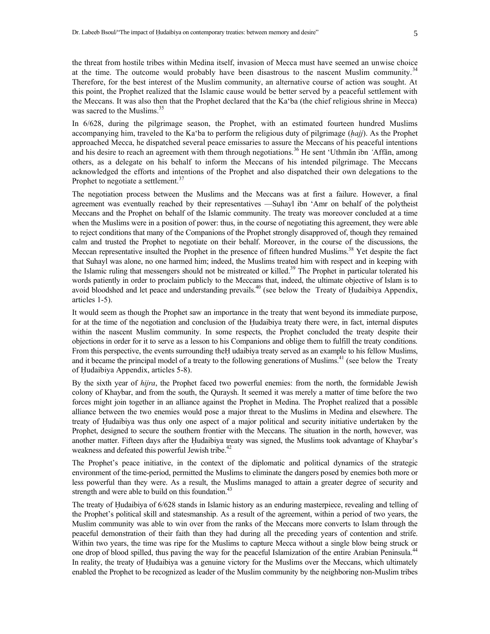the threat from hostile tribes within Medina itself, invasion of Mecca must have seemed an unwise choice at the time. The outcome would probably have been disastrous to the nascent Muslim community.<sup>34</sup> Therefore, for the best interest of the Muslim community, an alternative course of action was sought. At this point, the Prophet realized that the Islamic cause would be better served by a peaceful settlement with the Meccans. It was also then that the Prophet declared that the Ka'ba (the chief religious shrine in Mecca) was sacred to the Muslims.<sup>35</sup>

In 6/628, during the pilgrimage season, the Prophet, with an estimated fourteen hundred Muslims accompanying him, traveled to the Ka'ba to perform the religious duty of pilgrimage (*Íajj*). As the Prophet approached Mecca, he dispatched several peace emissaries to assure the Meccans of his peaceful intentions and his desire to reach an agreement with them through negotiations.<sup>36</sup> He sent 'Uthmān ibn *'Affān*, among others, as a delegate on his behalf to inform the Meccans of his intended pilgrimage. The Meccans acknowledged the efforts and intentions of the Prophet and also dispatched their own delegations to the Prophet to negotiate a settlement.<sup>37</sup>

The negotiation process between the Muslims and the Meccans was at first a failure. However, a final agreement was eventually reached by their representatives —Suhayl ibn 'Amr on behalf of the polytheist Meccans and the Prophet on behalf of the Islamic community. The treaty was moreover concluded at a time when the Muslims were in a position of power: thus, in the course of negotiating this agreement, they were able to reject conditions that many of the Companions of the Prophet strongly disapproved of, though they remained calm and trusted the Prophet to negotiate on their behalf. Moreover, in the course of the discussions, the Meccan representative insulted the Prophet in the presence of fifteen hundred Muslims.<sup>38</sup> Yet despite the fact that Suhayl was alone, no one harmed him; indeed, the Muslims treated him with respect and in keeping with the Islamic ruling that messengers should not be mistreated or killed.<sup>39</sup> The Prophet in particular tolerated his words patiently in order to proclaim publicly to the Meccans that, indeed, the ultimate objective of Islam is to avoid bloodshed and let peace and understanding prevails.<sup>40</sup> (see below the Treaty of Hudaibiya Appendix, articles 1-5).

It would seem as though the Prophet saw an importance in the treaty that went beyond its immediate purpose, for at the time of the negotiation and conclusion of the Hudaibiya treaty there were, in fact, internal disputes within the nascent Muslim community. In some respects, the Prophet concluded the treaty despite their objections in order for it to serve as a lesson to his Companions and oblige them to fulfill the treaty conditions. From this perspective, the events surrounding the Hudaibiya treaty served as an example to his fellow Muslims, and it became the principal model of a treaty to the following generations of Muslims.<sup>41</sup> (see below the Treaty of Hudaibiya Appendix, articles 5-8).

By the sixth year of *hijra*, the Prophet faced two powerful enemies: from the north, the formidable Jewish colony of Khaybar, and from the south, the Quraysh. It seemed it was merely a matter of time before the two forces might join together in an alliance against the Prophet in Medina. The Prophet realized that a possible alliance between the two enemies would pose a major threat to the Muslims in Medina and elsewhere. The treaty of Hudaibiya was thus only one aspect of a major political and security initiative undertaken by the Prophet, designed to secure the southern frontier with the Meccans. The situation in the north, however, was another matter. Fifteen days after the Hudaibiya treaty was signed, the Muslims took advantage of Khaybar's weakness and defeated this powerful Jewish tribe.<sup>42</sup>

The Prophet's peace initiative, in the context of the diplomatic and political dynamics of the strategic environment of the time-period, permitted the Muslims to eliminate the dangers posed by enemies both more or less powerful than they were. As a result, the Muslims managed to attain a greater degree of security and strength and were able to build on this foundation.<sup>43</sup>

The treaty of Hudaibiya of 6/628 stands in Islamic history as an enduring masterpiece, revealing and telling of the Prophet's political skill and statesmanship. As a result of the agreement, within a period of two years, the Muslim community was able to win over from the ranks of the Meccans more converts to Islam through the peaceful demonstration of their faith than they had during all the preceding years of contention and strife. Within two years, the time was ripe for the Muslims to capture Mecca without a single blow being struck or one drop of blood spilled, thus paving the way for the peaceful Islamization of the entire Arabian Peninsula.<sup>44</sup> In reality, the treaty of Hudaibiya was a genuine victory for the Muslims over the Meccans, which ultimately enabled the Prophet to be recognized as leader of the Muslim community by the neighboring non-Muslim tribes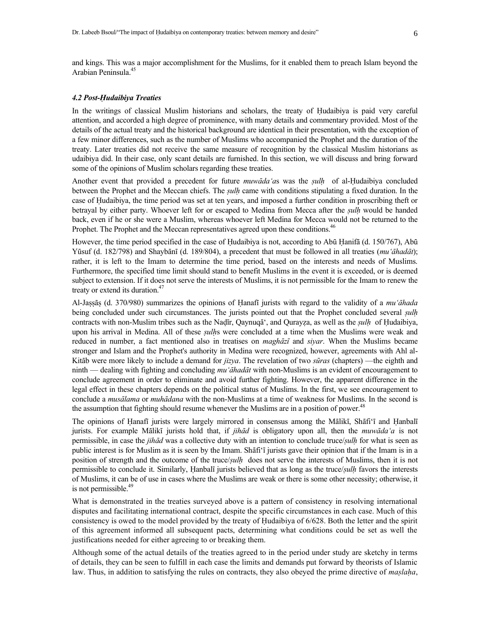and kings. This was a major accomplishment for the Muslims, for it enabled them to preach Islam beyond the Arabian Peninsula.<sup>45</sup>

### **4.2 Post-Hudaibiya Treaties**

In the writings of classical Muslim historians and scholars, the treaty of Hudaibiya is paid very careful attention, and accorded a high degree of prominence, with many details and commentary provided. Most of the details of the actual treaty and the historical background are identical in their presentation, with the exception of a few minor differences, such as the number of Muslims who accompanied the Prophet and the duration of the treaty. Later treaties did not receive the same measure of recognition by the classical Muslim historians as udaibiya did. In their case, only scant details are furnished. In this section, we will discuss and bring forward some of the opinions of Muslim scholars regarding these treaties.

Another event that provided a precedent for future *muwada'as* was the *sulh* of al-Hudaibiya concluded between the Prophet and the Meccan chiefs. The *sulh* came with conditions stipulating a fixed duration. In the case of Hudaibiya, the time period was set at ten years, and imposed a further condition in proscribing theft or betrayal by either party. Whoever left for or escaped to Medina from Mecca after the *sulh* would be handed back, even if he or she were a Muslim, whereas whoever left Medina for Mecca would not be returned to the Prophet. The Prophet and the Meccan representatives agreed upon these conditions.<sup>46</sup>

However, the time period specified in the case of Hudaibiya is not, according to Abū Hanifā (d. 150/767), Abū Yüsuf (d. 182/798) and Shaybānī (d. 189/804), a precedent that must be followed in all treaties (*mu'āhadāt*); rather, it is left to the Imam to determine the time period, based on the interests and needs of Muslims. Furthermore, the specified time limit should stand to benefit Muslims in the event it is exceeded, or is deemed subject to extension. If it does not serve the interests of Muslims, it is not permissible for the Imam to renew the treaty or extend its duration.<sup>47</sup>

Al-Jașșăș (d. 370/980) summarizes the opinions of Hanafī jurists with regard to the validity of a *mu'chada* being concluded under such circumstances. The jurists pointed out that the Prophet concluded several *sulh* contracts with non-Muslim tribes such as the Nadīr, Qaynuqā<sup>t</sup>, and Qurayza, as well as the *sulh* of Hudaibiya, upon his arrival in Medina. All of these *sulh*s were concluded at a time when the Muslims were weak and reduced in number, a fact mentioned also in treatises on *maghāzī* and *siyar*. When the Muslims became stronger and Islam and the Prophet's authority in Medina were recognized, however, agreements with Ahl al-Kitäb were more likely to include a demand for *jizya*. The revelation of two *sūras* (chapters) —the eighth and ninth — dealing with fighting and concluding *mu'ÉhadÉt* with non-Muslims is an evident of encouragement to conclude agreement in order to eliminate and avoid further fighting. However, the apparent difference in the legal effect in these chapters depends on the political status of Muslims. In the first, we see encouragement to conclude a *musālama* or *muhādana* with the non-Muslims at a time of weakness for Muslims. In the second is the assumption that fighting should resume whenever the Muslims are in a position of power.<sup>48</sup>

The opinions of Hanafī jurists were largely mirrored in consensus among the Mālikī, Shāfi'ī and Hanbalī jurists. For example Mālikī jurists hold that, if *jihād* is obligatory upon all, then the *muwāda'a* is not permissible, in case the *jihād* was a collective duty with an intention to conclude truce/*<i>§ulh* for what is seen as public interest is for Muslim as it is seen by the Imam. Shafi'<sup>†</sup> jurists gave their opinion that if the Imam is in a position of strength and the outcome of the truce/*ÎulÍ* does not serve the interests of Muslims, then it is not permissible to conclude it. Similarly, Hanbali jurists believed that as long as the truce/*sulh* favors the interests of Muslims, it can be of use in cases where the Muslims are weak or there is some other necessity; otherwise, it is not permissible.<sup>49</sup>

What is demonstrated in the treaties surveyed above is a pattern of consistency in resolving international disputes and facilitating international contract, despite the specific circumstances in each case. Much of this consistency is owed to the model provided by the treaty of Hudaibiya of  $6/628$ . Both the letter and the spirit of this agreement informed all subsequent pacts, determining what conditions could be set as well the justifications needed for either agreeing to or breaking them.

Although some of the actual details of the treaties agreed to in the period under study are sketchy in terms of details, they can be seen to fulfill in each case the limits and demands put forward by theorists of Islamic law. Thus, in addition to satisfying the rules on contracts, they also obeyed the prime directive of *maslaha*,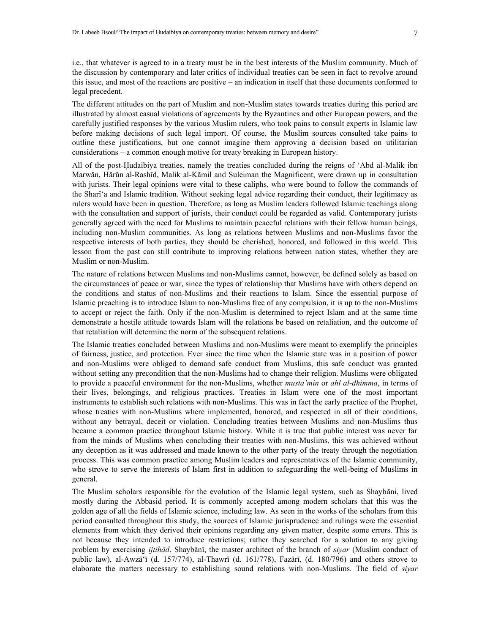i.e., that whatever is agreed to in a treaty must be in the best interests of the Muslim community. Much of

the discussion by contemporary and later critics of individual treaties can be seen in fact to revolve around this issue, and most of the reactions are positive – an indication in itself that these documents conformed to legal precedent.

The different attitudes on the part of Muslim and non-Muslim states towards treaties during this period are illustrated by almost casual violations of agreements by the Byzantines and other European powers, and the carefully justified responses by the various Muslim rulers, who took pains to consult experts in Islamic law before making decisions of such legal import. Of course, the Muslim sources consulted take pains to outline these justifications, but one cannot imagine them approving a decision based on utilitarian considerations – a common enough motive for treaty breaking in European history.

All of the post-Hudaibiya treaties, namely the treaties concluded during the reigns of 'Abd al-Malik ibn Marwān, Hārūn al-Rashīd, Malik al-Kāmil and Suleiman the Magnificent, were drawn up in consultation with jurists. Their legal opinions were vital to these caliphs, who were bound to follow the commands of the Sharī'a and Islamic tradition. Without seeking legal advice regarding their conduct, their legitimacy as rulers would have been in question. Therefore, as long as Muslim leaders followed Islamic teachings along with the consultation and support of jurists, their conduct could be regarded as valid. Contemporary jurists generally agreed with the need for Muslims to maintain peaceful relations with their fellow human beings, including non-Muslim communities. As long as relations between Muslims and non-Muslims favor the respective interests of both parties, they should be cherished, honored, and followed in this world. This lesson from the past can still contribute to improving relations between nation states, whether they are Muslim or non-Muslim.

The nature of relations between Muslims and non-Muslims cannot, however, be defined solely as based on the circumstances of peace or war, since the types of relationship that Muslims have with others depend on the conditions and status of non-Muslims and their reactions to Islam. Since the essential purpose of Islamic preaching is to introduce Islam to non-Muslims free of any compulsion, it is up to the non-Muslims to accept or reject the faith. Only if the non-Muslim is determined to reject Islam and at the same time demonstrate a hostile attitude towards Islam will the relations be based on retaliation, and the outcome of that retaliation will determine the norm of the subsequent relations.

The Islamic treaties concluded between Muslims and non-Muslims were meant to exemplify the principles of fairness, justice, and protection. Ever since the time when the Islamic state was in a position of power and non-Muslims were obliged to demand safe conduct from Muslims, this safe conduct was granted without setting any precondition that the non-Muslims had to change their religion. Muslims were obligated to provide a peaceful environment for the non-Muslims, whether *musta'min* or *ahl al-dhimma*, in terms of their lives, belongings, and religious practices. Treaties in Islam were one of the most important instruments to establish such relations with non-Muslims. This was in fact the early practice of the Prophet, whose treaties with non-Muslims where implemented, honored, and respected in all of their conditions, without any betrayal, deceit or violation. Concluding treaties between Muslims and non-Muslims thus became a common practice throughout Islamic history. While it is true that public interest was never far from the minds of Muslims when concluding their treaties with non-Muslims, this was achieved without any deception as it was addressed and made known to the other party of the treaty through the negotiation process. This was common practice among Muslim leaders and representatives of the Islamic community, who strove to serve the interests of Islam first in addition to safeguarding the well-being of Muslims in general.

The Muslim scholars responsible for the evolution of the Islamic legal system, such as Shaybāni, lived mostly during the Abbasid period. It is commonly accepted among modern scholars that this was the golden age of all the fields of Islamic science, including law. As seen in the works of the scholars from this period consulted throughout this study, the sources of Islamic jurisprudence and rulings were the essential elements from which they derived their opinions regarding any given matter, despite some errors. This is not because they intended to introduce restrictions; rather they searched for a solution to any giving problem by exercising *ijtihād*. Shaybānī, the master architect of the branch of *siyar* (Muslim conduct of public law), al-Awzā'ī (d. 157/774), al-Thawrī (d. 161/778), Fazārī, (d. 180/796) and others strove to elaborate the matters necessary to establishing sound relations with non-Muslims. The field of *siyar*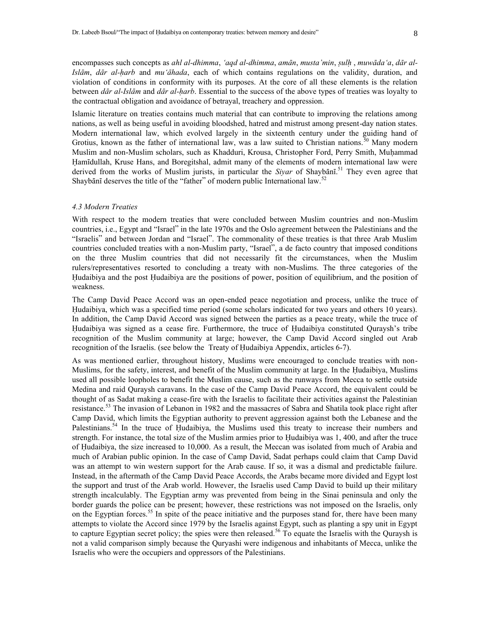encompasses such concepts as *ahl al-dhimma*, *'aqd al-dhimma*, *amÉn*, *musta'min*, *ÎulÍ* , *muwÉda'a*, *dÉr al-IslÉm*, *dÉr al-Íarb* and *mu'Éhada*, each of which contains regulations on the validity, duration, and violation of conditions in conformity with its purposes. At the core of all these elements is the relation between *dār al-Islām* and *dār al-harb*. Essential to the success of the above types of treaties was loyalty to the contractual obligation and avoidance of betrayal, treachery and oppression.

Islamic literature on treaties contains much material that can contribute to improving the relations among nations, as well as being useful in avoiding bloodshed, hatred and mistrust among present-day nation states. Modern international law, which evolved largely in the sixteenth century under the guiding hand of Grotius, known as the father of international law, was a law suited to Christian nations.<sup>50</sup> Many modern Muslim and non-Muslim scholars, such as Khadduri, Krousa, Christopher Ford, Perry Smith, Muhammad Hamīdullah, Kruse Hans, and Boregitshal, admit many of the elements of modern international law were derived from the works of Muslim jurists, in particular the *Siyar* of Shaybānī.<sup>51</sup> They even agree that Shaybānī deserves the title of the "father" of modern public International law.<sup>52</sup>

## *4.3 Modern Treaties*

With respect to the modern treaties that were concluded between Muslim countries and non-Muslim countries, i.e., Egypt and "Israel" in the late 1970s and the Oslo agreement between the Palestinians and the "Israelis" and between Jordan and "Israel". The commonality of these treaties is that three Arab Muslim countries concluded treaties with a non-Muslim party, "Israel", a de facto country that imposed conditions on the three Muslim countries that did not necessarily fit the circumstances, when the Muslim rulers/representatives resorted to concluding a treaty with non-Muslims. The three categories of the Hudaibiya and the post Hudaibiya are the positions of power, position of equilibrium, and the position of weakness.

The Camp David Peace Accord was an open-ended peace negotiation and process, unlike the truce of Hudaibiya, which was a specified time period (some scholars indicated for two years and others 10 years). In addition, the Camp David Accord was signed between the parties as a peace treaty, while the truce of Hudaibiya was signed as a cease fire. Furthermore, the truce of Hudaibiya constituted Quraysh's tribe recognition of the Muslim community at large; however, the Camp David Accord singled out Arab recognition of the Israelis. (see below the Treaty of Hudaibiya Appendix, articles 6-7).

As was mentioned earlier, throughout history, Muslims were encouraged to conclude treaties with non-Muslims, for the safety, interest, and benefit of the Muslim community at large. In the Hudaibiya, Muslims used all possible loopholes to benefit the Muslim cause, such as the runways from Mecca to settle outside Medina and raid Quraysh caravans. In the case of the Camp David Peace Accord, the equivalent could be thought of as Sadat making a cease-fire with the Israelis to facilitate their activities against the Palestinian resistance.<sup>53</sup> The invasion of Lebanon in 1982 and the massacres of Sabra and Shatila took place right after Camp David, which limits the Egyptian authority to prevent aggression against both the Lebanese and the Palestinians.<sup>54</sup> In the truce of Hudaibiya, the Muslims used this treaty to increase their numbers and strength. For instance, the total size of the Muslim armies prior to Hudaibiya was 1, 400, and after the truce of Hudaibiya, the size increased to 10,000. As a result, the Meccan was isolated from much of Arabia and much of Arabian public opinion. In the case of Camp David, Sadat perhaps could claim that Camp David was an attempt to win western support for the Arab cause. If so, it was a dismal and predictable failure. Instead, in the aftermath of the Camp David Peace Accords, the Arabs became more divided and Egypt lost the support and trust of the Arab world. However, the Israelis used Camp David to build up their military strength incalculably. The Egyptian army was prevented from being in the Sinai peninsula and only the border guards the police can be present; however, these restrictions was not imposed on the Israelis, only on the Egyptian forces.<sup>55</sup> In spite of the peace initiative and the purposes stand for, there have been many attempts to violate the Accord since 1979 by the Israelis against Egypt, such as planting a spy unit in Egypt to capture Egyptian secret policy; the spies were then released.<sup>56</sup> To equate the Israelis with the Quraysh is not a valid comparison simply because the Quryashi were indigenous and inhabitants of Mecca, unlike the Israelis who were the occupiers and oppressors of the Palestinians.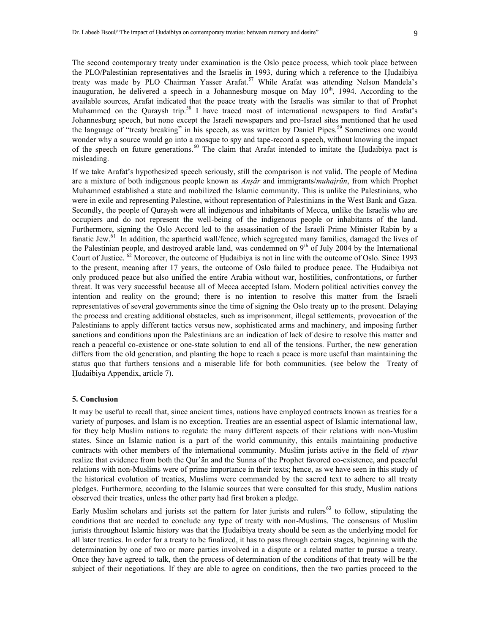The second contemporary treaty under examination is the Oslo peace process, which took place between the PLO/Palestinian representatives and the Israelis in 1993, during which a reference to the Hudaibiya treaty was made by PLO Chairman Yasser Arafat.<sup>57</sup> While Arafat was attending Nelson Mandela's inauguration, he delivered a speech in a Johannesburg mosque on May  $10<sup>th</sup>$ , 1994. According to the available sources, Arafat indicated that the peace treaty with the Israelis was similar to that of Prophet Muhammed on the Quraysh trip.<sup>58</sup> I have traced most of international newspapers to find Arafat's Johannesburg speech, but none except the Israeli newspapers and pro-Israel sites mentioned that he used the language of "treaty breaking" in his speech, as was written by Daniel Pipes.<sup>59</sup> Sometimes one would wonder why a source would go into a mosque to spy and tape-record a speech, without knowing the impact of the speech on future generations.<sup>60</sup> The claim that Arafat intended to imitate the Hudaibiya pact is misleading.

If we take Arafat's hypothesized speech seriously, still the comparison is not valid. The people of Medina are a mixture of both indigenous people known as *Anşār* and immigrants/*muhajrūn*, from which Prophet Muhammed established a state and mobilized the Islamic community. This is unlike the Palestinians, who were in exile and representing Palestine, without representation of Palestinians in the West Bank and Gaza. Secondly, the people of Quraysh were all indigenous and inhabitants of Mecca, unlike the Israelis who are occupiers and do not represent the well-being of the indigenous people or inhabitants of the land. Furthermore, signing the Oslo Accord led to the assassination of the Israeli Prime Minister Rabin by a fanatic Jew.<sup>61</sup> In addition, the apartheid wall/fence, which segregated many families, damaged the lives of the Palestinian people, and destroyed arable land, was condemned on  $9<sup>th</sup>$  of July 2004 by the International Court of Justice. <sup>62</sup> Moreover, the outcome of Hudaibiya is not in line with the outcome of Oslo. Since 1993 to the present, meaning after 17 years, the outcome of Oslo failed to produce peace. The Hudaibiya not only produced peace but also unified the entire Arabia without war, hostilities, confrontations, or further threat. It was very successful because all of Mecca accepted Islam. Modern political activities convey the intention and reality on the ground; there is no intention to resolve this matter from the Israeli representatives of several governments since the time of signing the Oslo treaty up to the present. Delaying the process and creating additional obstacles, such as imprisonment, illegal settlements, provocation of the Palestinians to apply different tactics versus new, sophisticated arms and machinery, and imposing further sanctions and conditions upon the Palestinians are an indication of lack of desire to resolve this matter and reach a peaceful co-existence or one-state solution to end all of the tensions. Further, the new generation differs from the old generation, and planting the hope to reach a peace is more useful than maintaining the status quo that furthers tensions and a miserable life for both communities. (see below the Treaty of Hudaibiya Appendix, article 7).

#### **5. Conclusion**

It may be useful to recall that, since ancient times, nations have employed contracts known as treaties for a variety of purposes, and Islam is no exception. Treaties are an essential aspect of Islamic international law, for they help Muslim nations to regulate the many different aspects of their relations with non-Muslim states. Since an Islamic nation is a part of the world community, this entails maintaining productive contracts with other members of the international community. Muslim jurists active in the field of *siyar*  realize that evidence from both the Qur'an and the Sunna of the Prophet favored co-existence, and peaceful relations with non-Muslims were of prime importance in their texts; hence, as we have seen in this study of the historical evolution of treaties, Muslims were commanded by the sacred text to adhere to all treaty pledges. Furthermore, according to the Islamic sources that were consulted for this study, Muslim nations observed their treaties, unless the other party had first broken a pledge.

Early Muslim scholars and jurists set the pattern for later jurists and rulers $63$  to follow, stipulating the conditions that are needed to conclude any type of treaty with non-Muslims. The consensus of Muslim jurists throughout Islamic history was that the Hudaibiya treaty should be seen as the underlying model for all later treaties. In order for a treaty to be finalized, it has to pass through certain stages, beginning with the determination by one of two or more parties involved in a dispute or a related matter to pursue a treaty. Once they have agreed to talk, then the process of determination of the conditions of that treaty will be the subject of their negotiations. If they are able to agree on conditions, then the two parties proceed to the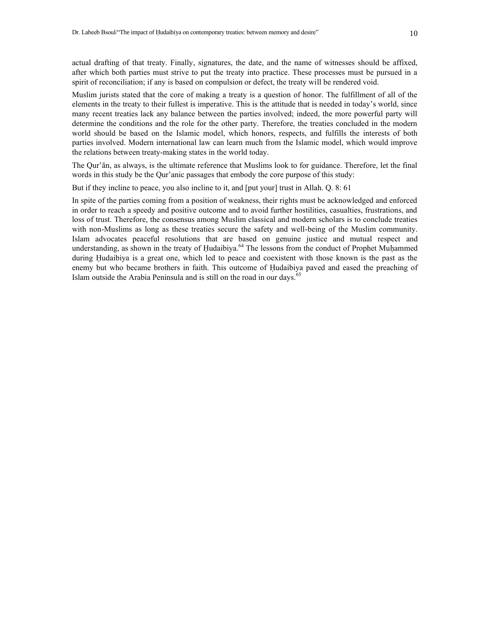actual drafting of that treaty. Finally, signatures, the date, and the name of witnesses should be affixed, after which both parties must strive to put the treaty into practice. These processes must be pursued in a spirit of reconciliation; if any is based on compulsion or defect, the treaty will be rendered void.

Muslim jurists stated that the core of making a treaty is a question of honor. The fulfillment of all of the elements in the treaty to their fullest is imperative. This is the attitude that is needed in today's world, since many recent treaties lack any balance between the parties involved; indeed, the more powerful party will determine the conditions and the role for the other party. Therefore, the treaties concluded in the modern world should be based on the Islamic model, which honors, respects, and fulfills the interests of both parties involved. Modern international law can learn much from the Islamic model, which would improve the relations between treaty-making states in the world today.

The Qur'an, as always, is the ultimate reference that Muslims look to for guidance. Therefore, let the final words in this study be the Qur'anic passages that embody the core purpose of this study:

But if they incline to peace, you also incline to it, and [put your] trust in Allah. Q. 8: 61

In spite of the parties coming from a position of weakness, their rights must be acknowledged and enforced in order to reach a speedy and positive outcome and to avoid further hostilities, casualties, frustrations, and loss of trust. Therefore, the consensus among Muslim classical and modern scholars is to conclude treaties with non-Muslims as long as these treaties secure the safety and well-being of the Muslim community. Islam advocates peaceful resolutions that are based on genuine justice and mutual respect and understanding, as shown in the treaty of Hudaibiya.<sup>64</sup> The lessons from the conduct of Prophet Muhammed during Hudaibiya is a great one, which led to peace and coexistent with those known is the past as the enemy but who became brothers in faith. This outcome of Hudaibiya paved and eased the preaching of Islam outside the Arabia Peninsula and is still on the road in our days.<sup>65</sup>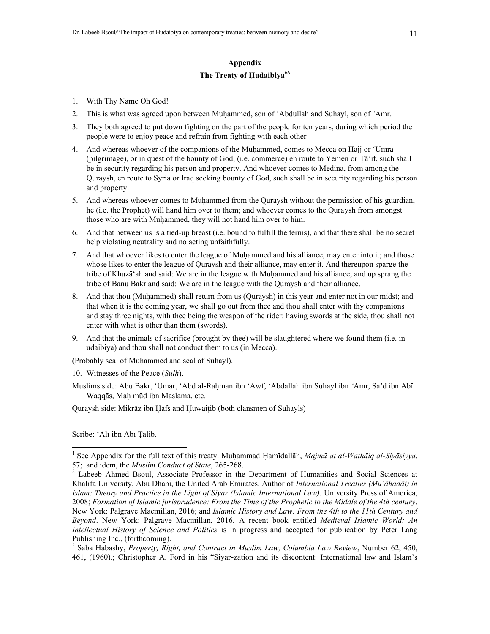## **Appendix**  The Treaty of Hudaibiya<sup>66</sup>

- 1. With Thy Name Oh God!
- 2. This is what was agreed upon between MuÍammed, son of 'Abdullah and Suhayl, son of *'*Amr.
- 3. They both agreed to put down fighting on the part of the people for ten years, during which period the people were to enjoy peace and refrain from fighting with each other
- 4. And whereas whoever of the companions of the Muhammed, comes to Mecca on Hajj or 'Umra (pilgrimage), or in quest of the bounty of God, (i.e. commerce) en route to Yemen or Tā'if, such shall be in security regarding his person and property. And whoever comes to Medina, from among the Quraysh, en route to Syria or Iraq seeking bounty of God, such shall be in security regarding his person and property.
- 5. And whereas whoever comes to Muhammed from the Quraysh without the permission of his guardian, he (i.e. the Prophet) will hand him over to them; and whoever comes to the Quraysh from amongst those who are with Muhammed, they will not hand him over to him.
- 6. And that between us is a tied-up breast (i.e. bound to fulfill the terms), and that there shall be no secret help violating neutrality and no acting unfaithfully.
- 7. And that whoever likes to enter the league of Muhammed and his alliance, may enter into it; and those whose likes to enter the league of Quraysh and their alliance, may enter it. And thereupon sparge the tribe of Khuzā'ah and said: We are in the league with Muhammed and his alliance; and up sprang the tribe of Banu Bakr and said: We are in the league with the Quraysh and their alliance.
- 8. And that thou (Muḥammed) shall return from us (Quraysh) in this year and enter not in our midst; and that when it is the coming year, we shall go out from thee and thou shall enter with thy companions and stay three nights, with thee being the weapon of the rider: having swords at the side, thou shall not enter with what is other than them (swords).
- 9. And that the animals of sacrifice (brought by thee) will be slaughtered where we found them (i.e. in udaibiya) and thou shall not conduct them to us (in Mecca).

(Probably seal of Muhammed and seal of Suhayl).

- 10. Witnesses of the Peace (*ØulÍ*).
- Muslims side: Abu Bakr, 'Umar, 'Abd al-Rahman ibn 'Awf, 'Abdallah ibn Suhayl ibn *'Amr, Sa'd ibn Abī* Waqqās, Maḥ mūd ibn Maslama, etc.

Quraysh side: Mikrāz ibn Hafs and Huwaiṭib (both clansmen of Suhayls)

Scribe: 'Alī ibn Abī Țālib.

 $\overline{\phantom{a}}$ 

<sup>&</sup>lt;sup>1</sup> See Appendix for the full text of this treaty. Muhammad Hamīdallāh, *Majmū*<sup>*'at al-Wathāiq al-Siyāsiyya*,</sup> 57; and idem, the *Muslim Conduct of State*, 265-268.

 $2$  Labeeb Ahmed Bsoul, Associate Professor in the Department of Humanities and Social Sciences at Khalifa University, Abu Dhabi, the United Arab Emirates. Author of *International Treaties (Mu'ÉhadÉt) in Islam: Theory and Practice in the Light of Siyar (Islamic International Law).* University Press of America, 2008; *Formation of Islamic jurisprudence: From the Time of the Prophetic to the Middle of the 4th century*. New York: Palgrave Macmillan, 2016; and *Islamic History and Law: From the 4th to the 11th Century and Beyond*. New York: Palgrave Macmillan, 2016. A recent book entitled *Medieval Islamic World: An Intellectual History of Science and Politics* is in progress and accepted for publication by Peter Lang Publishing Inc., (forthcoming).

<sup>3</sup> Saba Habashy, *Property, Right, and Contract in Muslim Law, Columbia Law Review*, Number 62, 450, 461, (1960).; Christopher A. Ford in his "Siyar-zation and its discontent: International law and Islam's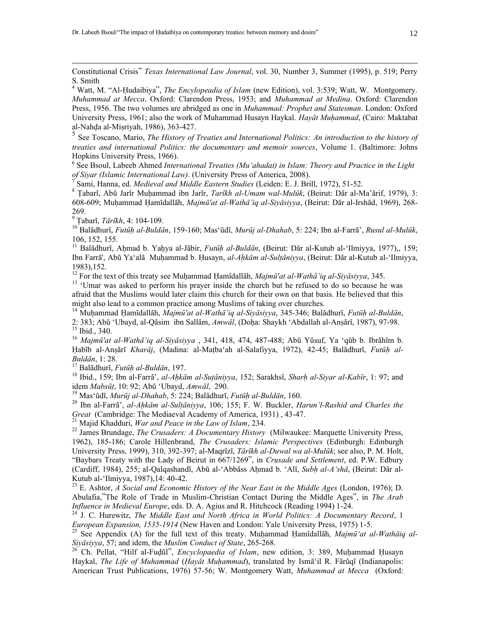Constitutional Crisis" *Texas International Law Journal*, vol. 30, Number 3, Summer (1995), p. 519; Perry S. Smith

<sup>4</sup> Watt, M. "Al-Hudaibiya", *The Encylopeadia of Islam* (new Edition), vol. 3:539; Watt, W. Montgomery. *Muhammad at Mecca*. Oxford: Clarendon Press, 1953; and *Muhammad at Medina*. Oxford: Clarendon Press, 1956. The two volumes are abridged as one in *Muhammad: Prophet and Statesman*. London: Oxford University Press, 1961; also the work of Muhammad Husayn Haykal. *Hayāt Muhammad*, (Cairo: Maktabat al-Nahda al-Misriyah, 1986), 363-427.

5 See Toscano, Mario, *The History of Treaties and International Politics: An introduction to the history of treaties and international Politics: the documentary and memoir sources*, Volume 1. (Baltimore: Johns Hopkins University Press, 1966).

<sup>6</sup> See Bsoul, Labeeb Ahmed *International Treaties (Mu'ahadat) in Islam: Theory and Practice in the Light of Siyar (Islamic International Law)*. (University Press of America, 2008).

7 Sami, Hanna, ed. *Medieval and Middle Eastern Studies* (Leiden: E. J. Brill, 1972), 51-52.

<sup>8</sup> Țabarī, Abū Jarīr Muḥammad ibn Jarīr, *Tarīkh al-Umam wal-Mulūk*, (Beirut: Dār al-Ma'ārif, 1979), 3: 608-609; Muhammad Hamīdallāh, *Majmū'at al-Wathā'iq al-Siyāsiyya*, (Beirut: Dār al-Irshād, 1969), 268-269.

Tabarī, *Tārīkh*, 4: 104-109.

 $\overline{\phantom{a}}$ 

<sup>10</sup> Balādhurī, *Futūh al-Buldān*, 159-160; Mas'ūdī, *Murūj al-Dhahab*, 5: 224; Ibn al-Farrā', *Rusul al-Mulūk*, 106, 152, 155.

<sup>11</sup> Balādhurī, Ahmad b. Yahya al-Jābir, *Futūh al-Buldān*, (Beirut: Dār al-Kutub al-'Ilmiyya, 1977),, 159; Ibn Farrā', Abū Ya'alā Muhammad b. Husayn, *al-Ahkām al-Sultāniyya*, (Beirut: Dār al-Kutub al-'Ilmiyya, 1983),152.

<sup>12</sup> For the text of this treaty see Muhammad Hamīdallāh, *Majmū'at al-Wathā'iq al-Siyāsiyya*, 345.

<sup>13</sup> 'Umar was asked to perform his prayer inside the church but he refused to do so because he was afraid that the Muslims would later claim this church for their own on that basis. He believed that this might also lead to a common practice among Muslims of taking over churches.

<sup>14</sup> Muhammad Hamīdallāh, *Majmū'at al-Wathā'iq al-Siyāsiyya*, 345-346; Balādhurī, *Futūh al-Buldān*, 2: 383; Abū 'Ubayd, al-Qāsim ibn Sallām, *Amwāl*, (Doha: Shaykh 'Abdallah al-Anṣārī, 1987), 97-98. <sup>15</sup> Ibid., 340.

<sup>16</sup> Majmū'at al-Wathā'iq al-Siyāsiyya, 341, 418, 474, 487-488; Abū Yūsuf, Ya 'qūb b. Ibrāhīm b. Habīb al-Ansārī Kharāj, (Madina: al-Matba'ah al-Salafiyya, 1972), 42-45; Balādhurī, Futūh al-*BuldÉn*, 1: 28.

<sup>17</sup> Balādhurī, *Futūh al-Buldān*, 197.

<sup>18</sup> Ibid., 159; Ibn al-Farrā', *al-Ahkām al-Sutāniyya*, 152; Sarakhsī, *Sharh al-Siyar al-Kabīr*, 1: 97; and idem *Mabsūt*, 10: 92; Abū 'Ubayd, Amwāl, 290.

<sup>19</sup> Mas'ūdī, *Murūj al-Dhahab*, 5: 224; Balādhurī, *Futūḥ al-Buldān*, 160.

<sup>20</sup> Ibn al-Farrā', al-Ahkām al-Sultāniyya, 106; 155; F. W. Buckler, *Harun'l-Rashid and Charles the Great* (Cambridge: The Mediaeval Academy of America, 1931) , 43-47.

<sup>21</sup> Majid Khadduri, *War and Peace in the Law of Islam*, 234.

<sup>22</sup> James Brundage, *The Crusaders: A Documentary History* (Milwaukee: Marquette University Press, 1962), 185-186; Carole Hillenbrand, *The Crusaders: Islamic Perspectives* (Edinburgh: Edinburgh University Press, 1999), 310, 392-397; al-Maqrīzī, *Tārīkh al-Duwal wa al-Mulūk*; see also, P. M. Holt, "Baybars Treaty with the Lady of Beirut in 667/1269", in *Crusade and Settlement*, ed. P.W. Edbury (Cardiff, 1984), 255; al-QalqashandÊ, AbË al-'AbbÉss AÍmad b. 'AlÊ, *SubÍ al-A'shÉ*, (Beirut: DÉr al-Kutub al-'Ilmiyya, 1987),14: 40-42.

<sup>23</sup> E. Ashtor, *A Social and Economic History of the Near East in the Middle Ages* (London, 1976); D. Abulafia,"The Role of Trade in Muslim-Christian Contact During the Middle Ages", in *The Arab Influence in Medieval Europe*, eds. D. A. Agius and R. Hitchcock (Reading 1994) 1-24.

<sup>24</sup> J. C. Hurewitz, *The Middle East and North Africa in World Politics: A Documentary Record*, 1 *European Expansion, 1535-1914* (New Haven and London: Yale University Press, 1975) 1-5.

<sup>5</sup> See Appendix (A) for the full text of this treaty. Muhammad Hamidallah, *Majmü<sup>t</sup>at al-Wathāiq al-SiyÉsiyya*, 57; and idem, the *Muslim Conduct of State*, 265-268.

<sup>26</sup> Ch. Pellat, "Hilf al-Fudūl", *Encyclopaedia of Islam*, new edition, 3: 389, Muhammad Husayn Haykal, *The Life of Muhammad (Hayāt Muhammad*), translated by Ismā'il R. Fārūgī (Indianapolis: American Trust Publications, 1976) 57-56; W. Montgomery Watt, *Muhammad at Mecca* (Oxford: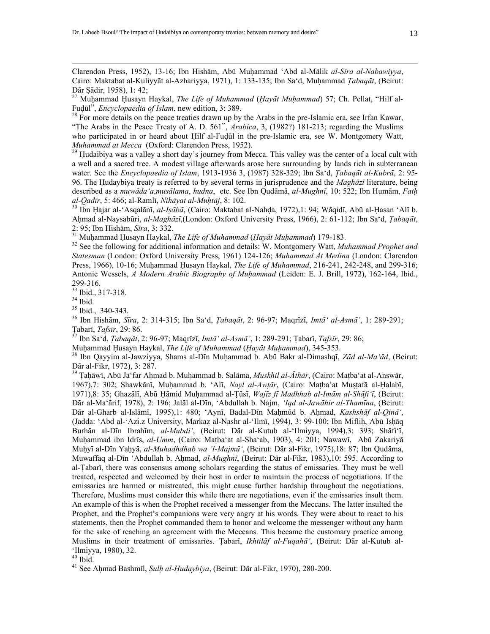Clarendon Press, 1952), 13-16; Ibn Hishām, Abū Muhammad 'Abd al-Mālik *al-Sīra al-Nabawiyya*, Cairo: Maktabat al-Kuliyyāt al-Azhariyya, 1971), 1: 133-135; Ibn Sa'd, Muhammad *Tabaqāt*, (Beirut: Dār Sādir, 1958), 1: 42;

<sup>27</sup> Muhammad Husayn Haykal, *The Life of Muhammad (Hayāt Muhammad*) 57; Ch. Pellat, "Hilf al-Fudūl", *Encyclopaedia of Islam*, new edition, 3: 389.

 $^{28}$  For more details on the peace treaties drawn up by the Arabs in the pre-Islamic era, see Irfan Kawar, "The Arabs in the Peace Treaty of A. D. 561", *Arabica*, 3, (1982?) 181-213; regarding the Muslims who participated in or heard about Hilf al-Fudūl in the pre-Islamic era, see W. Montgomery Watt, *Muhammad at Mecca* (Oxford: Clarendon Press, 1952).

 $29$  Hudaibiya was a valley a short day's journey from Mecca. This valley was the center of a local cult with a well and a sacred tree. A modest village afterwards arose here surrounding by lands rich in subterranean water. See the *Encyclopaedia of Islam*, 1913-1936 3, (1987) 328-329; Ibn Sa'd, *Tabaqāt al-Kubrā*, 2: 95-96. The Hudaybiya treaty is referred to by several terms in jurisprudence and the *Maghāzī* literature, being described as a *muwāda'a*,*musālama*, *hudna*, etc. See Ibn Qudāmā, *al-Mughnī*, 10: 522; Ibn Humām, *Fath al-Qadīr*, 5: 466; al-Ramlī, *Nihāyat al-Muhtāj*, 8: 102.

<sup>30</sup> Ibn Hajar al-'Asqalānī, *al-Isābā*, (Cairo: Maktabat al-Nahda, 1972),1: 94; Wāqidī, Abū al-Hasan 'Alī b. AÍmad al-NaysabËri, *al-MaghÉzÊ*,(London: Oxford University Press, 1966), 2: 61-112; Ibn Sa'd, *ÙabaqÉt*, 2: 95; Ibn Hishām, *Sīra*, 3: 332.

<sup>31</sup> Muhammad Husayn Haykal, *The Life of Muhammad (Hayāt Muhammad)* 179-183.

<sup>32</sup> See the following for additional information and details: W. Montgomery Watt, *Muhammad Prophet and Statesman* (London: Oxford University Press, 1961) 124-126; *Muhammad At Medina* (London: Clarendon Press, 1966), 10-16; Muhammad Husayn Haykal, *The Life of Muhammad*, 216-241, 242-248, and 299-316; Antonie Wessels, *A Modern Arabic Biography of MuÍammad* (Leiden: E. J. Brill, 1972), 162-164, Ibid., 299-316.

<sup>33</sup> Ibid., 317-318.

<sup>34</sup> Ibid.

 $\overline{\phantom{a}}$ 

<sup>35</sup> Ibid., 340-343.

<sup>36</sup> Ibn Hishām, *Sīra*, 2: 314-315; Ibn Sa'd, *Țabaqāt*, 2: 96-97; Maqrīzī, *Imtā*<sup>*' al-Asmā*<sup>'</sup>, 1: 289-291;</sup> Tabarī, *Tafsīr*, 29: 86.

<sup>37</sup> Ibn Sa'd, *ÙabaqÉt*, 2: 96-97; MaqrÊzÊ, *ImtÉ' al-AsmÉ'*, 1: 289-291; ÙabarÊ, *TafsÊr*, 29: 86;

Muhammad Husayn Haykal, *The Life of Muhammad (Hayāt Muhammad)*, 345-353.

<sup>38</sup> Ibn Qayyim al-Jawziyya, Shams al-Dīn Muhammad b. Abū Bakr al-Dimashqī, Zād al-Ma'ād, (Beirut: Dār al-Fikr, 1972), 3: 287.

<sup>39</sup> Taḥāwī, Abū Ja'far Aḥmad b. Muḥammad b. Salāma, *Muskhil al-Āthār*, (Cairo: Maṭba'at al-Answār, 1967),7: 302; Shawkānī, Muhammad b. 'Alī, *Nayl al-Awtār*, (Cairo: Matba'at Mustafā al-Halabī, 1971),8: 35; Ghazālī, Abū Hāmid Muhammad al-Țūsī, *Wajīz fī Madhhab al-Imām al-Shāfi'ī*, (Beirut: Dār al-Ma'ārif, 1978), 2: 196; Jalāl al-Dīn, 'Abdullah b. Najm, '*Iqd al-Jawāhir al-Thamīna*, (Beirut: Dār al-Gharb al-Islāmī, 1995),1: 480; 'Aynī, Badal-Dīn Mahmūd b. Ahmad, *Kashshāf al-Qinā*<sup>'</sup>, (Jadda: 'Abd al-'Azi.z University, Markaz al-Nashr al-'Ilmī, 1994), 3: 99-100; Ibn Miflih, Abū Ishāq Burhān al-Dīn Ibrahīm, al-Mubdi', (Beirut: Dār al-Kutub al-'Ilmiyya, 1994),3: 393; Shāfi'ī, Muhammad ibn Idrīs, al-Umm, (Cairo: Maṭba'at al-Sha'ab, 1903), 4: 201; Nawawī, Abū Zakariyā MuÍyÊ al-DÊn YaÍyÉ, *al-Muhadhdhab wa 'l-MajmË'*, (Beirut: DÉr al-Fikr, 1975),18: 87; Ibn QudÉma, Muwaffaq al-Dīn 'Abdullah b. Ahmad, *al-Mughnī*, (Beirut: Dār al-Fikr, 1983),10: 595. According to al-Tabarī, there was consensus among scholars regarding the status of emissaries. They must be well treated, respected and welcomed by their host in order to maintain the process of negotiations. If the emissaries are harmed or mistreated, this might cause further hardship throughout the negotiations. Therefore, Muslims must consider this while there are negotiations, even if the emissaries insult them. An example of this is when the Prophet received a messenger from the Meccans. The latter insulted the Prophet, and the Prophet's companions were very angry at his words. They were about to react to his statements, then the Prophet commanded them to honor and welcome the messenger without any harm for the sake of reaching an agreement with the Meccans. This became the customary practice among Muslims in their treatment of emissaries. Tabarī, *Ikhtilāf al-Fuqahā'*, (Beirut: Dār al-Kutub al-'Ilmiyya, 1980), 32.

 $40$  Ibid.

<sup>41</sup> See Ahmad Bashmīl, *Sulh al-Hudaybiya*, (Beirut: Dār al-Fikr, 1970), 280-200.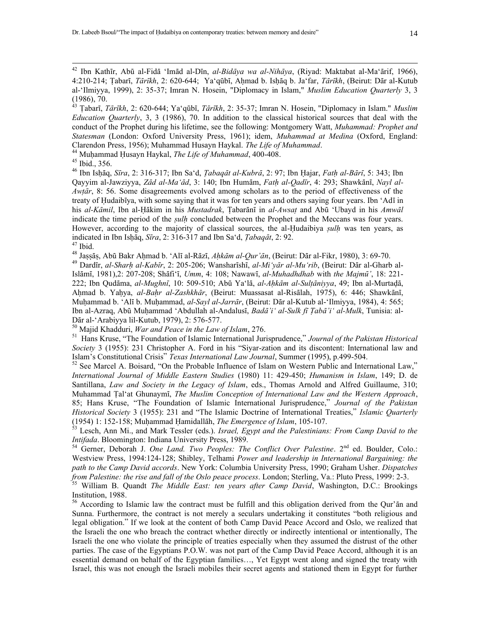<sup>42</sup> Ibn Kathīr, Abū al-Fidā 'Imād al-Dīn, *al-Bidāya wa al-Nihāya*, (Riyad: Maktabat al-Ma'ārif, 1966), 4:210-214; Țabarī, *Tārīkh*, 2: 620-644; Ya'qūbī, Aḥmad b. Isḥāq b. Ja'far, *Tārīkh*, (Beirut: Dār al-Kutub al-'Ilmiyya, 1999), 2: 35-37; Imran N. Hosein, "Diplomacy in Islam," *Muslim Education Quarterly* 3, 3 (1986), 70.

<sup>43</sup> Țabarī, *Tārīkh*, 2: 620-644; Yaʻqūbī, *Tārīkh*, 2: 35-37; Imran N. Hosein, "Diplomacy in Islam." *Muslim Education Quarterly*, 3, 3 (1986), 70. In addition to the classical historical sources that deal with the conduct of the Prophet during his lifetime, see the following: Montgomery Watt, *Muhammad: Prophet and Statesman* (London: Oxford University Press, 1961); idem, *Muhammad at Medina* (Oxford, England: Clarendon Press, 1956); Muhammad Husayn Haykal. *The Life of Muhammad*.

<sup>44</sup> Muhammad Husayn Haykal, *The Life of Muhammad*, 400-408.

<sup>45</sup> Ibid., 356.

 $\overline{\phantom{a}}$ 

<sup>46</sup> Ibn Ishāq, *Sīra*, 2: 316-317; Ibn Sa'd, *Tabaqāt al-Kubrā*, 2: 97; Ibn Hajar, *Fath al-Bārī*, 5: 343; Ibn Qayyim al-Jawziyya, *Zād al-Ma'ād*, 3: 140; Ibn Humām, *Fath al-Qadīr*, 4: 293; Shawkānī, *Nayl al-Awtār*, 8: 56. Some disagreements evolved among scholars as to the period of effectiveness of the treaty of Hudaibīya, with some saying that it was for ten years and others saying four years. Ibn 'Adī in his *al-Kāmil*, Ibn al-Ḥākim in his *Mustadrak*, Țabarānī in *al-Awsat* and Abū 'Ubayd in his *Amwāl* indicate the time period of the *sulh* concluded between the Prophet and the Meccans was four years. However, according to the majority of classical sources, the al-Hudaibiya *sulh* was ten years, as indicated in Ibn Ishāq, *Sīra*, 2: 316-317 and Ibn Sa'd, *Tabaqāt*, 2: 92.

 $47$  Ibid.

<sup>48</sup> Jassās, Abū Bakr Ahmad b. 'Alī al-Rāzī, *Ahkām al-Qur'ān*, (Beirut: Dār al-Fikr, 1980), 3: 69-70.

<sup>49</sup> Dardīr, *al-Sharh al-Kabīr*, 2: 205-206; Wansharīshī, *al-Mi'yār al-Mu'rib*, (Beirut: Dār al-Gharb al-IslÉmÊ, 1981),2: 207-208; ShÉfi'Ê, *Umm*, 4: 108; NawawÊ, *al-Muhadhdhab* with *the MajmË'*, 18: 221- 222; Ibn Qudāma, *al-Mughnī*, 10: 509-510; Abū Ya'lā, *al-Ahkām al-Sultāniyya*, 49; Ibn al-Murtadā, Ahmad b. Yahya, *al-Bahr al-Zashkhār*, (Beirut: Muassasat al-Risālah, 1975), 6: 446; Shawkānī, Muhammad b. 'Alī b. Muhammad, *al-Sayl al-Jarrār*, (Beirut: Dār al-Kutub al-'Ilmiyya, 1984), 4: 565; Ibn al-Azraq, AbË MuÍammad 'Abdullah al-AndalusÊ, *BadÉ'i' al-Sulk fÊ ÙabÉ'i' al-Mulk*, Tunisia: al-Dār al-'Arabiyya lil-Kutub, 1979), 2: 576-577.

<sup>50</sup> Majid Khadduri, *War and Peace in the Law of Islam*, 276.

<sup>51</sup> Hans Kruse, "The Foundation of Islamic International Jurisprudence," *Journal of the Pakistan Historical Society* 3 (1955): 231 Christopher A. Ford in his "Siyar-zation and its discontent: International law and Islam's Constitutional Crisis" *Texas International Law Journal*, Summer (1995), p.499-504.

<sup>52</sup> See Marcel A. Boisard, "On the Probable Influence of Islam on Western Public and International Law," *International Journal of Middle Eastern Studies* (1980) 11: 429-450; *Humanism in Islam*, 149; D. de Santillana, *Law and Society in the Legacy of Islam*, eds., Thomas Arnold and Alfred Guillaume, 310; Muhammad Tal'at Ghunaymī, *The Muslim Conception of International Law and the Western Approach*, 85; Hans Kruse, "The Foundation of Islamic International Jurisprudence," *Journal of the Pakistan Historical Society* 3 (1955): 231 and "The Islamic Doctrine of International Treaties," *Islamic Quarterly*  (1954) 1: 152-158; Muhammad Hamidallah, *The Emergence of Islam*, 105-107.

<sup>53</sup> Lesch, Ann Mi., and Mark Tessler (eds.). *Israel, Egypt and the Palestinians: From Camp David to the Intifada*. Bloomington: Indiana University Press, 1989.

<sup>54</sup> Gerner, Deborah J. *One Land. Two Peoples: The Conflict Over Palestine*. 2<sup>nd</sup> ed. Boulder, Colo.: Westview Press, 1994:124-128; Shibley, Telhami *Power and leadership in International Bargaining: the path to the Camp David accords*. New York: Columbia University Press, 1990; Graham Usher. *Dispatches from Palestine: the rise and fall of the Oslo peace process*. London; Sterling, Va.: Pluto Press, 1999: 2-3.

<sup>55</sup> William B. Quandt *The Middle East: ten years after Camp David*, Washington, D.C.: Brookings Institution, 1988.

 $56$  According to Islamic law the contract must be fulfill and this obligation derived from the Qur'an and Sunna. Furthermore, the contract is not merely a seculars undertaking it constitutes "both religious and legal obligation." If we look at the content of both Camp David Peace Accord and Oslo, we realized that the Israeli the one who breach the contract whether directly or indirectly intentional or intentionally, The Israeli the one who violate the principle of treaties especially when they assumed the distrust of the other parties. The case of the Egyptians P.O.W. was not part of the Camp David Peace Accord, although it is an essential demand on behalf of the Egyptian families…, Yet Egypt went along and signed the treaty with Israel, this was not enough the Israeli mobiles their secret agents and stationed them in Egypt for further